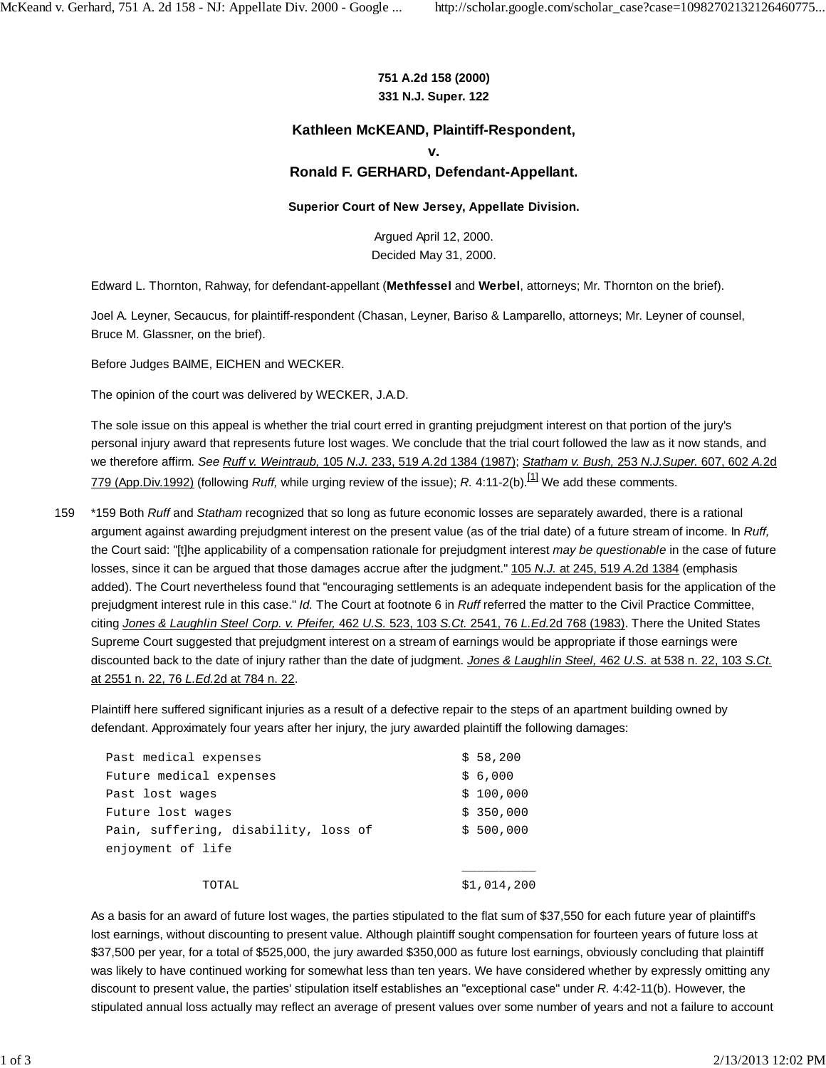### **751 A.2d 158 (2000) 331 N.J. Super. 122**

# **Kathleen McKEAND, Plaintiff-Respondent,**

**v.**

# **Ronald F. GERHARD, Defendant-Appellant.**

#### **Superior Court of New Jersey, Appellate Division.**

Argued April 12, 2000. Decided May 31, 2000.

Edward L. Thornton, Rahway, for defendant-appellant (**Methfessel** and **Werbel**, attorneys; Mr. Thornton on the brief).

Joel A. Leyner, Secaucus, for plaintiff-respondent (Chasan, Leyner, Bariso & Lamparello, attorneys; Mr. Leyner of counsel, Bruce M. Glassner, on the brief).

Before Judges BAIME, EICHEN and WECKER.

The opinion of the court was delivered by WECKER, J.A.D.

The sole issue on this appeal is whether the trial court erred in granting prejudgment interest on that portion of the jury's personal injury award that represents future lost wages. We conclude that the trial court followed the law as it now stands, and we therefore affirm. *See Ruff v. Weintraub,* 105 *N.J.* 233, 519 *A.*2d 1384 (1987); *Statham v. Bush,* 253 *N.J.Super.* 607, 602 *A.*2d 779 (App.Div.1992) (following *Ruff,* while urging review of the issue); *R.* 4:11-2(b).[1] We add these comments.

\*159 Both *Ruff* and *Statham* recognized that so long as future economic losses are separately awarded, there is a rational argument against awarding prejudgment interest on the present value (as of the trial date) of a future stream of income. In *Ruff,* the Court said: "[t]he applicability of a compensation rationale for prejudgment interest *may be questionable* in the case of future losses, since it can be argued that those damages accrue after the judgment." 105 *N.J.* at 245, 519 *A.*2d 1384 (emphasis added). The Court nevertheless found that "encouraging settlements is an adequate independent basis for the application of the prejudgment interest rule in this case." *Id.* The Court at footnote 6 in *Ruff* referred the matter to the Civil Practice Committee, citing *Jones & Laughlin Steel Corp. v. Pfeifer,* 462 *U.S.* 523, 103 *S.Ct.* 2541, 76 *L.Ed.*2d 768 (1983). There the United States Supreme Court suggested that prejudgment interest on a stream of earnings would be appropriate if those earnings were discounted back to the date of injury rather than the date of judgment. *Jones & Laughlin Steel,* 462 *U.S.* at 538 n. 22, 103 *S.Ct.* at 2551 n. 22, 76 *L.Ed.*2d at 784 n. 22. 159

Plaintiff here suffered significant injuries as a result of a defective repair to the steps of an apartment building owned by defendant. Approximately four years after her injury, the jury awarded plaintiff the following damages:

| Past medical expenses                | \$58,200    |
|--------------------------------------|-------------|
| Future medical expenses              | \$6,000     |
| Past lost wages                      | \$100,000   |
| Future lost wages                    | \$350,000   |
| Pain, suffering, disability, loss of | \$500.000   |
| enjoyment of life                    |             |
|                                      |             |
| TOTAL.                               | \$1,014,200 |

As a basis for an award of future lost wages, the parties stipulated to the flat sum of \$37,550 for each future year of plaintiff's lost earnings, without discounting to present value. Although plaintiff sought compensation for fourteen years of future loss at \$37,500 per year, for a total of \$525,000, the jury awarded \$350,000 as future lost earnings, obviously concluding that plaintiff was likely to have continued working for somewhat less than ten years. We have considered whether by expressly omitting any discount to present value, the parties' stipulation itself establishes an "exceptional case" under *R.* 4:42-11(b). However, the stipulated annual loss actually may reflect an average of present values over some number of years and not a failure to account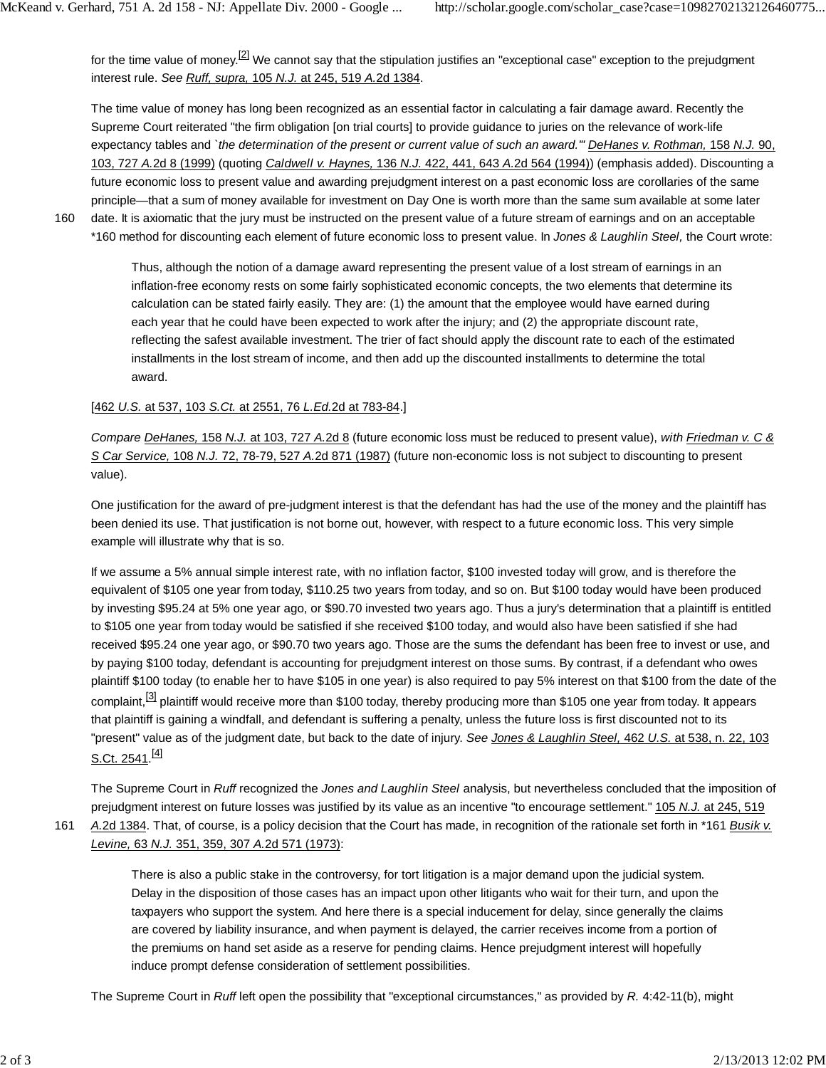for the time value of money.<sup>[2]</sup> We cannot say that the stipulation justifies an "exceptional case" exception to the prejudgment interest rule. *See Ruff, supra,* 105 *N.J.* at 245, 519 *A.*2d 1384.

The time value of money has long been recognized as an essential factor in calculating a fair damage award. Recently the Supreme Court reiterated "the firm obligation [on trial courts] to provide guidance to juries on the relevance of work-life expectancy tables and *`the determination of the present or current value of such an award.'" DeHanes v. Rothman,* 158 *N.J.* 90, 103, 727 *A.*2d 8 (1999) (quoting *Caldwell v. Haynes,* 136 *N.J.* 422, 441, 643 *A.*2d 564 (1994)) (emphasis added). Discounting a future economic loss to present value and awarding prejudgment interest on a past economic loss are corollaries of the same principle—that a sum of money available for investment on Day One is worth more than the same sum available at some later date. It is axiomatic that the jury must be instructed on the present value of a future stream of earnings and on an acceptable

160

\*160 method for discounting each element of future economic loss to present value. In *Jones & Laughlin Steel,* the Court wrote:

Thus, although the notion of a damage award representing the present value of a lost stream of earnings in an inflation-free economy rests on some fairly sophisticated economic concepts, the two elements that determine its calculation can be stated fairly easily. They are: (1) the amount that the employee would have earned during each year that he could have been expected to work after the injury; and (2) the appropriate discount rate, reflecting the safest available investment. The trier of fact should apply the discount rate to each of the estimated installments in the lost stream of income, and then add up the discounted installments to determine the total award.

#### [462 *U.S.* at 537, 103 *S.Ct.* at 2551, 76 *L.Ed.*2d at 783-84.]

*Compare DeHanes,* 158 *N.J.* at 103, 727 *A.*2d 8 (future economic loss must be reduced to present value), *with Friedman v. C & S Car Service,* 108 *N.J.* 72, 78-79, 527 *A.*2d 871 (1987) (future non-economic loss is not subject to discounting to present value).

One justification for the award of pre-judgment interest is that the defendant has had the use of the money and the plaintiff has been denied its use. That justification is not borne out, however, with respect to a future economic loss. This very simple example will illustrate why that is so.

If we assume a 5% annual simple interest rate, with no inflation factor, \$100 invested today will grow, and is therefore the equivalent of \$105 one year from today, \$110.25 two years from today, and so on. But \$100 today would have been produced by investing \$95.24 at 5% one year ago, or \$90.70 invested two years ago. Thus a jury's determination that a plaintiff is entitled to \$105 one year from today would be satisfied if she received \$100 today, and would also have been satisfied if she had received \$95.24 one year ago, or \$90.70 two years ago. Those are the sums the defendant has been free to invest or use, and by paying \$100 today, defendant is accounting for prejudgment interest on those sums. By contrast, if a defendant who owes plaintiff \$100 today (to enable her to have \$105 in one year) is also required to pay 5% interest on that \$100 from the date of the complaint,<sup>[3]</sup> plaintiff would receive more than \$100 today, thereby producing more than \$105 one year from today. It appears that plaintiff is gaining a windfall, and defendant is suffering a penalty, unless the future loss is first discounted not to its "present" value as of the judgment date, but back to the date of injury. *See Jones & Laughlin Steel,* 462 *U.S.* at 538, n. 22, 103 S.Ct. 2541.<sup>[4]</sup>

The Supreme Court in *Ruff* recognized the *Jones and Laughlin Steel* analysis, but nevertheless concluded that the imposition of prejudgment interest on future losses was justified by its value as an incentive "to encourage settlement." 105 *N.J.* at 245, 519

*A.*2d 1384. That, of course, is a policy decision that the Court has made, in recognition of the rationale set forth in \*161 *Busik v. Levine,* 63 *N.J.* 351, 359, 307 *A.*2d 571 (1973): 161

> There is also a public stake in the controversy, for tort litigation is a major demand upon the judicial system. Delay in the disposition of those cases has an impact upon other litigants who wait for their turn, and upon the taxpayers who support the system. And here there is a special inducement for delay, since generally the claims are covered by liability insurance, and when payment is delayed, the carrier receives income from a portion of the premiums on hand set aside as a reserve for pending claims. Hence prejudgment interest will hopefully induce prompt defense consideration of settlement possibilities.

The Supreme Court in *Ruff* left open the possibility that "exceptional circumstances," as provided by *R.* 4:42-11(b), might